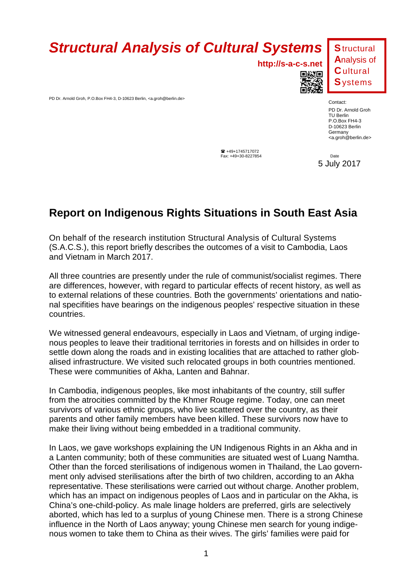

PD Dr. Arnold Groh, P.O.Box FH4-3, D-10623 Berlin, <a.groh@berlin.de>

**http://s-a-c-s.net**



**S**tructural **A**nalysis of **C**ultural **S**ystems

Contact: PD Dr. Arnold Groh TU Berlin P.O.Box FH4-3 D-10623 Berlin

 $\bullet$  +49+1745717072 **Fax:** +49+30-8227854 **Date** 

5 July 2017

**Germany** <a.groh@berlin.de>

## **Report on Indigenous Rights Situations in South East Asia**

On behalf of the research institution Structural Analysis of Cultural Systems (S.A.C.S.), this report briefly describes the outcomes of a visit to Cambodia, Laos and Vietnam in March 2017.

All three countries are presently under the rule of communist/socialist regimes. There are differences, however, with regard to particular effects of recent history, as well as to external relations of these countries. Both the governments' orientations and national specifities have bearings on the indigenous peoples' respective situation in these countries.

We witnessed general endeavours, especially in Laos and Vietnam, of urging indigenous peoples to leave their traditional territories in forests and on hillsides in order to settle down along the roads and in existing localities that are attached to rather globalised infrastructure. We visited such relocated groups in both countries mentioned. These were communities of Akha, Lanten and Bahnar.

In Cambodia, indigenous peoples, like most inhabitants of the country, still suffer from the atrocities committed by the Khmer Rouge regime. Today, one can meet survivors of various ethnic groups, who live scattered over the country, as their parents and other family members have been killed. These survivors now have to make their living without being embedded in a traditional community.

In Laos, we gave workshops explaining the UN Indigenous Rights in an Akha and in a Lanten community; both of these communities are situated west of Luang Namtha. Other than the forced sterilisations of indigenous women in Thailand, the Lao government only advised sterilisations after the birth of two children, according to an Akha representative. These sterilisations were carried out without charge. Another problem, which has an impact on indigenous peoples of Laos and in particular on the Akha, is China's one-child-policy. As male linage holders are preferred, girls are selectively aborted, which has led to a surplus of young Chinese men. There is a strong Chinese influence in the North of Laos anyway; young Chinese men search for young indigenous women to take them to China as their wives. The girls' families were paid for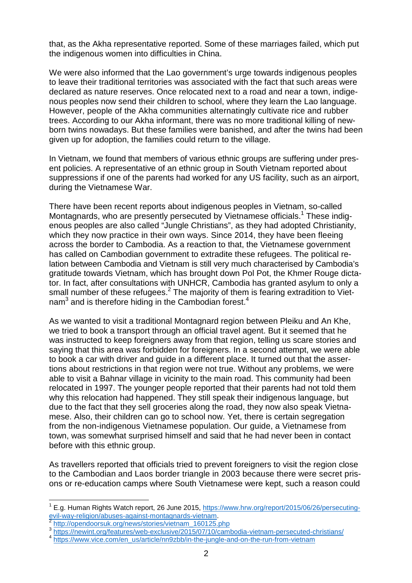that, as the Akha representative reported. Some of these marriages failed, which put the indigenous women into difficulties in China.

We were also informed that the Lao government's urge towards indigenous peoples to leave their traditional territories was associated with the fact that such areas were declared as nature reserves. Once relocated next to a road and near a town, indigenous peoples now send their children to school, where they learn the Lao language. However, people of the Akha communities alternatingly cultivate rice and rubber trees. According to our Akha informant, there was no more traditional killing of newborn twins nowadays. But these families were banished, and after the twins had been given up for adoption, the families could return to the village.

In Vietnam, we found that members of various ethnic groups are suffering under present policies. A representative of an ethnic group in South Vietnam reported about suppressions if one of the parents had worked for any US facility, such as an airport, during the Vietnamese War.

There have been recent reports about indigenous peoples in Vietnam, so-called Montagnards, who are presently persecuted by Vietnamese officials.<sup>1</sup> These indigenous peoples are also called "Jungle Christians", as they had adopted Christianity, which they now practice in their own ways. Since 2014, they have been fleeing across the border to Cambodia. As a reaction to that, the Vietnamese government has called on Cambodian government to extradite these refugees. The political relation between Cambodia and Vietnam is still very much characterised by Cambodia's gratitude towards Vietnam, which has brought down Pol Pot, the Khmer Rouge dictator. In fact, after consultations with UNHCR, Cambodia has granted asylum to only a small number of these refugees. $<sup>2</sup>$  The majority of them is fearing extradition to Viet-</sup> nam $3$  and is therefore hiding in the Cambodian forest.<sup>4</sup>

As we wanted to visit a traditional Montagnard region between Pleiku and An Khe, we tried to book a transport through an official travel agent. But it seemed that he was instructed to keep foreigners away from that region, telling us scare stories and saying that this area was forbidden for foreigners. In a second attempt, we were able to book a car with driver and guide in a different place. It turned out that the assertions about restrictions in that region were not true. Without any problems, we were able to visit a Bahnar village in vicinity to the main road. This community had been relocated in 1997. The younger people reported that their parents had not told them why this relocation had happened. They still speak their indigenous language, but due to the fact that they sell groceries along the road, they now also speak Vietnamese. Also, their children can go to school now. Yet, there is certain segregation from the non-indigenous Vietnamese population. Our guide, a Vietnamese from town, was somewhat surprised himself and said that he had never been in contact before with this ethnic group.

As travellers reported that officials tried to prevent foreigners to visit the region close to the Cambodian and Laos border triangle in 2003 because there were secret prisons or re-education camps where South Vietnamese were kept, such a reason could

l

<sup>&</sup>lt;sup>1</sup> E.g. Human Rights Watch report, 26 June 2015, https://www.hrw.org/report/2015/06/26/persecutingevil-way-religion/abuses-against-montagnards-vietnam.<br>2 http://opendeersuk.org/powe/steries/vietnam\_160125.pd

http://opendoorsuk.org/news/stories/vietnam\_160125.php

<sup>&</sup>lt;sup>3</sup>https://newint.org/features/web-exclusive/2015/07/10/cambodia-vietnam-persecuted-christians/

<sup>&</sup>lt;sup>4</sup> https://www.vice.com/en\_us/article/nn9zbb/in-the-jungle-and-on-the-run-from-vietnam